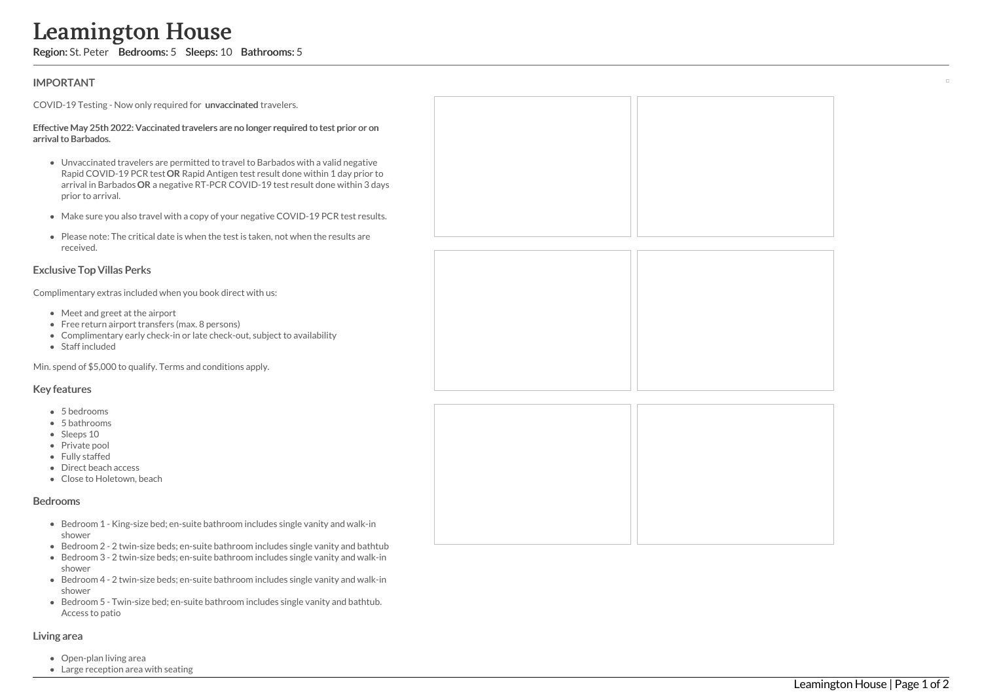# **IMPORTANT**

COVID-19 Testing - Now only required for unvaccinated travelers.

#### Effective May 25th 2022: Vaccinated travelers are no longer required to test prior or on arrival to Barbados.

- Unvaccinated travelers are permitted to travel to Barbados with a valid negative Rapid COVID-19 PCR test OR Rapid Antigen test result done within 1 day prior to arrival in Barbados OR a negative RT-PCR COVID-19 test result done within 3 day ys prior to arrival. **Learnington House Region:** St. Peter Bedrooms: 5 Sleeps: 10 Bathrooms: 5<br>
IMPORTANT<br>
COVID-19 Testing - Now only required for unwaccinated travelers.<br>
Effective May 25th 2022: Vaccinated travelers are no longer required<br>
	- Make sure you also travel with a copy of your negative COVID-19 PCR test results s.
	- Please note: The critical date is when the test is taken, not when the results are received.

# Exclusive Top Villas Perks

Complimentary extras included when you book direct with us:

- Meet and greet at the airport
- Free return airport transfers (max. 8 persons)
- Complimentary early check-in or late check-out, subject to availability
- Staff included

Min. spend of \$5,000 to qualify. Terms and conditions apply.

### Key features

- 5 bedrooms
- 5 bathrooms
- Sleeps 10
- Private pool
- Fully staffed
- Direct beach access
- Close to Holetown, beach

#### Bedrooms

- Bedroom 1 King-size bed; en-suite bathroom includes single vanity and walk-in shower
- Bedroom 2 2 twin-size beds; en-suite bathroom includes single vanity and bathtub
- Bedroom 3 2 twin-size beds; en-suite bathroom includes single vanity and walk-in shower
- Bedroom 4 2 twin-size beds; en-suite bathroom includes single vanity and walk-in shower
- Bedroom 5 Twin-size bed; en-suite bathroom includes single vanity and bathtub. Access to patio

#### Living area

- Open-plan living area
- 

| O<br>ays |  |  |
|----------|--|--|
| ts.      |  |  |